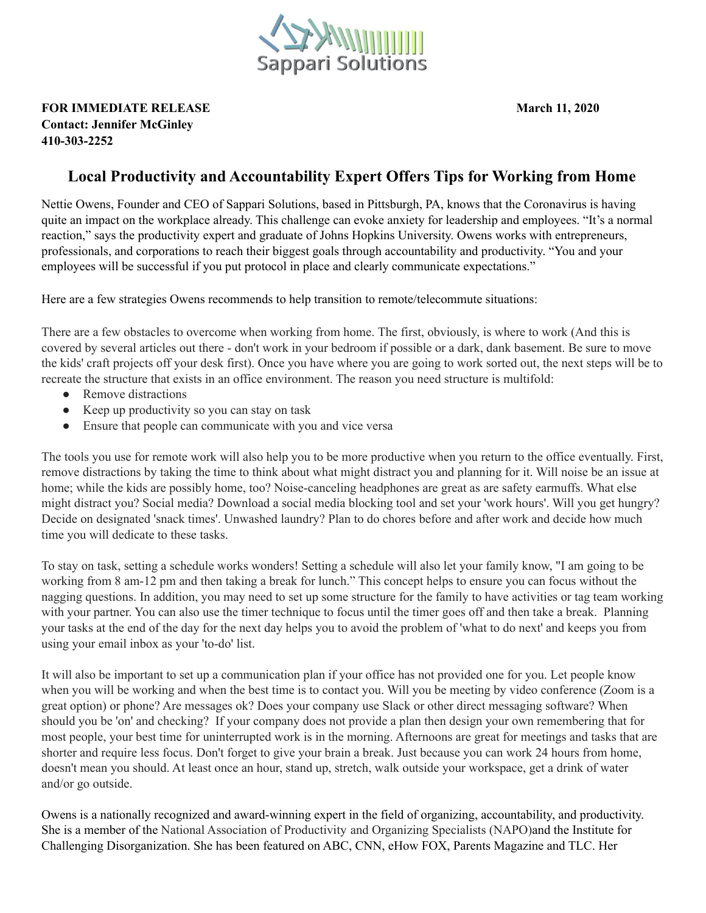

## **FOR IMMEDIATE RELEASE March 11, 2020 Contact: Jennifer McGinley 410-303-2252**

## **Local Productivity and Accountability Expert Offers Tips for Working from Home**

Nettie Owens, Founder and CEO of Sappari Solutions, based in Pittsburgh, PA, knows that the Coronavirus is having quite an impact on the workplace already. This challenge can evoke anxiety for leadership and employees. "It's a normal reaction," says the productivity expert and graduate of Johns Hopkins University. Owens works with entrepreneurs, professionals, and corporations to reach their biggest goals through accountability and productivity. "You and your employees will be successful if you put protocol in place and clearly communicate expectations."

Here are a few strategies Owens recommends to help transition to remote/telecommute situations:

There are a few obstacles to overcome when working from home. The first, obviously, is where to work (And this is covered by several articles out there - don't work in your bedroom if possible or a dark, dank basement. Be sure to move the kids' craft projects off your desk first). Once you have where you are going to work sorted out, the next steps will be to recreate the structure that exists in an office environment. The reason you need structure is multifold:

- Remove distractions
- Keep up productivity so you can stay on task
- Ensure that people can communicate with you and vice versa

The tools you use for remote work will also help you to be more productive when you return to the office eventually. First, remove distractions by taking the time to think about what might distract you and planning for it. Will noise be an issue at home; while the kids are possibly home, too? Noise-canceling headphones are great as are safety earmuffs. What else might distract you? Social media? Download a social media blocking tool and set your 'work hours'. Will you get hungry? Decide on designated 'snack times'. Unwashed laundry? Plan to do chores before and after work and decide how much time you will dedicate to these tasks.

To stay on task, setting a schedule works wonders! Setting a schedule will also let your family know, "I am going to be working from 8 am-12 pm and then taking a break for lunch." This concept helps to ensure you can focus without the nagging questions. In addition, you may need to set up some structure for the family to have activities or tag team working with your partner. You can also use the timer technique to focus until the timer goes off and then take a break. Planning your tasks at the end of the day for the next day helps you to avoid the problem of 'what to do next' and keeps you from using your email inbox as your 'to-do' list.

It will also be important to set up a communication plan if your office has not provided one for you. Let people know when you will be working and when the best time is to contact you. Will you be meeting by video conference (Zoom is a great option) or phone? Are messages ok? Does your company use Slack or other direct messaging software? When should you be 'on' and checking? If your company does not provide a plan then design your own remembering that for most people, your best time for uninterrupted work is in the morning. Afternoons are great for meetings and tasks that are shorter and require less focus. Don't forget to give your brain a break. Just because you can work 24 hours from home, doesn't mean you should. At least once an hour, stand up, stretch, walk outside your workspace, get a drink of water and/or go outside.

Owens is a nationally recognized and award-winning expert in the field of organizing, accountability, and productivity. She is a member of the National Association of Productivity and Organizing Specialists (NAPO)and the Institute for Challenging Disorganization. She has been featured on ABC, CNN, eHow FOX, Parents Magazine and TLC. Her